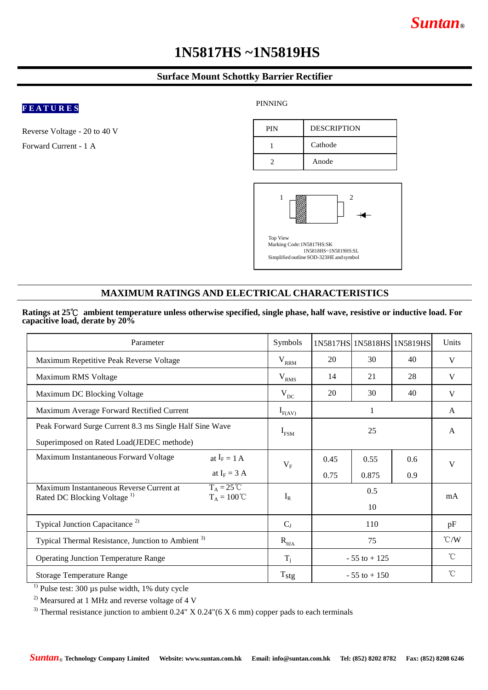# *Suntan***®**

# **1N5817HS ~1N5819HS**

# **Surface Mount Schottky Barrier Rectifier**

# **F E A T U R E S**

Reverse Voltage - 20 to 40 V Forward Current - 1 A

### PINNING





# **MAXIMUM RATINGS AND ELECTRICAL CHARACTERISTICS**

#### **Ratings at 25**℃ **ambient temperature unless otherwise specified, single phase, half wave, resistive or inductive load. For capacitive load, derate by 20%**

| Parameter                                                                                                                          | Symbols         |                 | 1N5817HS 1N5818HS 1N5819HS |               | Units           |
|------------------------------------------------------------------------------------------------------------------------------------|-----------------|-----------------|----------------------------|---------------|-----------------|
| Maximum Repetitive Peak Reverse Voltage                                                                                            | $V_{RRM}$       | 20              | 30                         | 40            | V               |
| Maximum RMS Voltage                                                                                                                | $V_{RMS}$       | 14              | 21                         | 28            | V               |
| Maximum DC Blocking Voltage                                                                                                        | $V_{DC}$        | 20              | 30                         | 40            | V               |
| Maximum Average Forward Rectified Current                                                                                          | $I_{F(AV)}$     | 1               |                            |               | A               |
| Peak Forward Surge Current 8.3 ms Single Half Sine Wave                                                                            | $I_{FSM}$       | 25              |                            |               | $\mathsf{A}$    |
| Superimposed on Rated Load(JEDEC methode)                                                                                          |                 |                 |                            |               |                 |
| Maximum Instantaneous Forward Voltage<br>at $I_F = 1 A$                                                                            | $V_{F}$         | 0.45            | 0.55                       | $0.6^{\circ}$ | V               |
| at $I_F = 3 A$                                                                                                                     |                 | 0.75            | 0.875                      | 0.9           |                 |
| $T_A = 25^{\circ}C$<br>Maximum Instantaneous Reverse Current at<br>Rated DC Blocking Voltage <sup>1)</sup><br>$T_A = 100^{\circ}C$ | $I_R$           | 0.5             |                            |               | mA              |
|                                                                                                                                    |                 | 10              |                            |               |                 |
| Typical Junction Capacitance <sup>2)</sup>                                                                                         | $C_{J}$         | 110             |                            |               | pF              |
| Typical Thermal Resistance, Junction to Ambient <sup>3)</sup>                                                                      | $R_{\theta JA}$ | 75              |                            |               | $\mathcal{C}/W$ |
| <b>Operating Junction Temperature Range</b>                                                                                        | $T_i$           | $-55$ to $+125$ |                            |               | $^{\circ}$ C    |
| <b>Storage Temperature Range</b>                                                                                                   | $T_{\rm{stg}}$  | $-55$ to $+150$ |                            |               | $^{\circ}$ C    |

 $<sup>1</sup>$  Pulse test: 300 µs pulse width, 1% duty cycle</sup>

 $^{2)}$  Mearsured at 1 MHz and reverse voltage of 4 V

<sup>3)</sup> Thermal resistance junction to ambient  $0.24$ " X  $0.24$ "( $6$  X  $6$  mm) copper pads to each terminals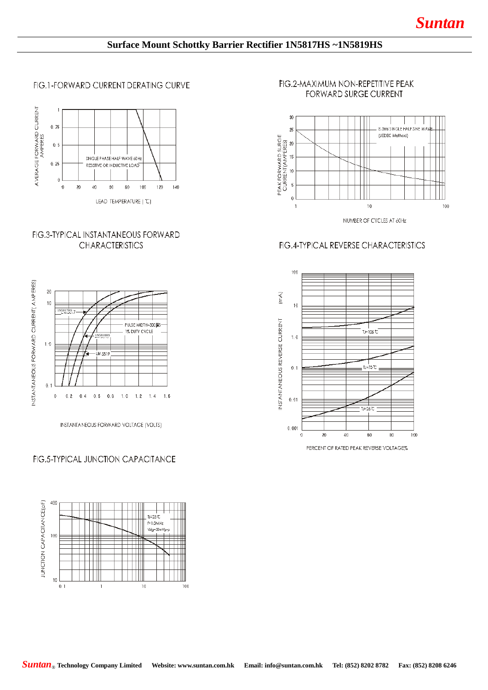# **Surface Mount Schottky Barrier Rectifier 1N5817HS ~1N5819HS**

FIG.1-FORWARD CURRENT DERATING CURVE



## **FIG.3-TYPICAL INSTANTANEOUS FORWARD CHARACTERISTICS**



INSTANTANEOUS FORWARD VOLTAGE (VOLTS)

## FIG.5-TYPICAL JUNCTION CAPACITANCE



## FIG.2-MAXIMUM NON-REPETITIVE PEAK FORWARD SURGE CURRENT



# FIG.4-TYPICAL REVERSE CHARACTERISTICS



PERCENT OF RATED PEAK REVERSE VOLTAGE%